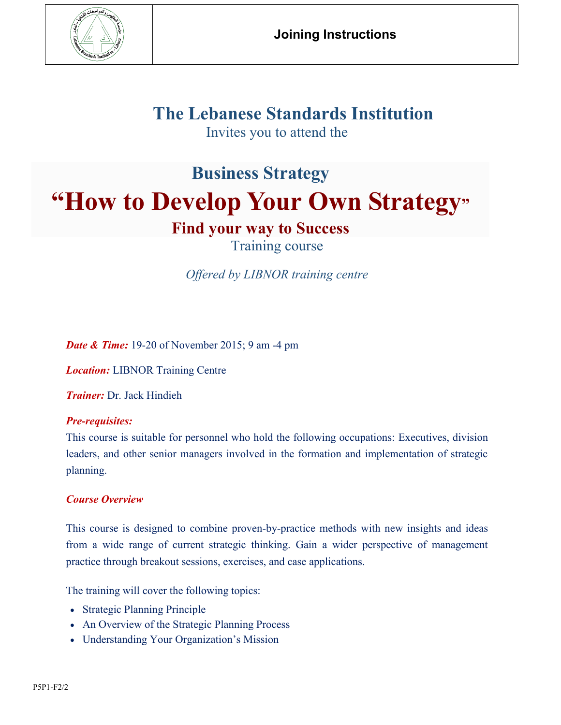

## **The Lebanese Standards Institution**

Invites you to attend the

# **Business Strategy "How to Develop Your Own Strategy"**

### **Find your way to Success**

Training course

*Offered by LIBNOR training centre*

*Date & Time:* 19-20 of November 2015; 9 am -4 pm

*Location:* LIBNOR Training Centre

*Trainer:* Dr. Jack Hindieh

#### *Pre-requisites:*

This course is suitable for personnel who hold the following occupations: Executives, division leaders, and other senior managers involved in the formation and implementation of strategic planning.

#### *Course Overview*

This course is designed to combine proven-by-practice methods with new insights and ideas from a wide range of current strategic thinking. Gain a wider perspective of management practice through breakout sessions, exercises, and case applications.

The training will cover the following topics:

- Strategic Planning Principle
- An Overview of the Strategic Planning Process
- Understanding Your Organization's Mission